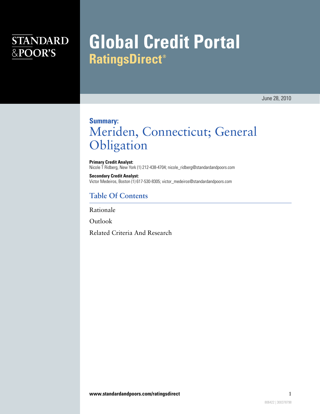## **STANDARD** &POOR'S

# **Global Credit Portal RatingsDirect®**

June 28, 2010

### **Summary:** Meriden, Connecticut; General Obligation

**Primary Credit Analyst:** Nicole T Ridberg, New York (1) 212-438-4704; nicole\_ridberg@standardandpoors.com

**Secondary Credit Analyst:** Victor Medeiros, Boston (1) 617-530-8305; victor\_medeiros@standardandpoors.com

#### **Table Of Contents**

[Rationale](#page-1-0)

[Outlook](#page-2-0)

[Related Criteria And Research](#page-2-1)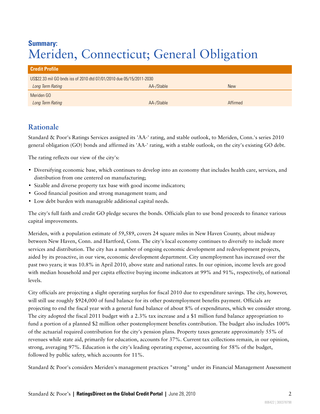### **Summary:** Meriden, Connecticut; General Obligation

| <b>Credit Profile</b>                                                |            |            |
|----------------------------------------------------------------------|------------|------------|
| US\$22.33 mil GO bnds iss of 2010 dtd 07/01/2010 due 05/15/2011-2030 |            |            |
| Long Term Rating                                                     | AA-/Stable | <b>New</b> |
| Meriden GO                                                           |            |            |
| Long Term Rating                                                     | AA-/Stable | Affirmed   |

### <span id="page-1-0"></span>**Rationale**

Standard & Poor's Ratings Services assigned its 'AA-' rating, and stable outlook, to Meriden, Conn.'s series 2010 general obligation (GO) bonds and affirmed its 'AA-' rating, with a stable outlook, on the city's existing GO debt.

The rating reflects our view of the city's:

- Diversifying economic base, which continues to develop into an economy that includes health care, services, and distribution from one centered on manufacturing;
- Sizable and diverse property tax base with good income indicators;
- Good financial position and strong management team; and
- Low debt burden with manageable additional capital needs.

The city's full faith and credit GO pledge secures the bonds. Officials plan to use bond proceeds to finance various capital improvements.

Meriden, with a population estimate of 59,589, covers 24 square miles in New Haven County, about midway between New Haven, Conn. and Hartford, Conn. The city's local economy continues to diversify to include more services and distribution. The city has a number of ongoing economic development and redevelopment projects, aided by its proactive, in our view, economic development department. City unemployment has increased over the past two years; it was 10.8% in April 2010, above state and national rates. In our opinion, income levels are good with median household and per capita effective buying income indicators at 99% and 91%, respectively, of national levels.

City officials are projecting a slight operating surplus for fiscal 2010 due to expenditure savings. The city, however, will still use roughly \$924,000 of fund balance for its other postemployment benefits payment. Officials are projecting to end the fiscal year with a general fund balance of about 8% of expenditures, which we consider strong. The city adopted the fiscal 2011 budget with a 2.3% tax increase and a \$1 million fund balance appropriation to fund a portion of a planned \$2 million other postemployment benefits contribution. The budget also includes 100% of the actuarial required contribution for the city's pension plans. Property taxes generate approximately 55% of revenues while state aid, primarily for education, accounts for 37%. Current tax collections remain, in our opinion, strong, averaging 97%. Education is the city's leading operating expense, accounting for 58% of the budget, followed by public safety, which accounts for 11%.

Standard & Poor's considers Meriden's management practices "strong" under its Financial Management Assessment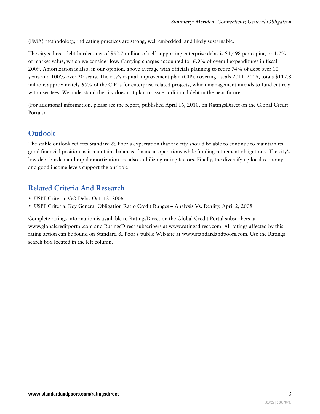(FMA) methodology, indicating practices are strong, well embedded, and likely sustainable.

The city's direct debt burden, net of \$52.7 million of self-supporting enterprise debt, is \$1,498 per capita, or 1.7% of market value, which we consider low. Carrying charges accounted for 6.9% of overall expenditures in fiscal 2009. Amortization is also, in our opinion, above average with officials planning to retire 74% of debt over 10 years and 100% over 20 years. The city's capital improvement plan (CIP), covering fiscals 2011–2016, totals \$117.8 million; approximately 65% of the CIP is for enterprise-related projects, which management intends to fund entirely with user fees. We understand the city does not plan to issue additional debt in the near future.

(For additional information, please see the report, published April 16, 2010, on RatingsDirect on the Global Credit Portal.)

#### <span id="page-2-0"></span>**Outlook**

The stable outlook reflects Standard & Poor's expectation that the city should be able to continue to maintain its good financial position as it maintains balanced financial operations while funding retirement obligations. The city's low debt burden and rapid amortization are also stabilizing rating factors. Finally, the diversifying local economy and good income levels support the outlook.

### <span id="page-2-1"></span>**Related Criteria And Research**

- USPF Criteria: GO Debt, Oct. 12, 2006
- USPF Criteria: Key General Obligation Ratio Credit Ranges Analysis Vs. Reality, April 2, 2008

Complete ratings information is available to RatingsDirect on the Global Credit Portal subscribers at www.globalcreditportal.com and RatingsDirect subscribers at www.ratingsdirect.com. All ratings affected by this rating action can be found on Standard & Poor's public Web site at www.standardandpoors.com. Use the Ratings search box located in the left column.